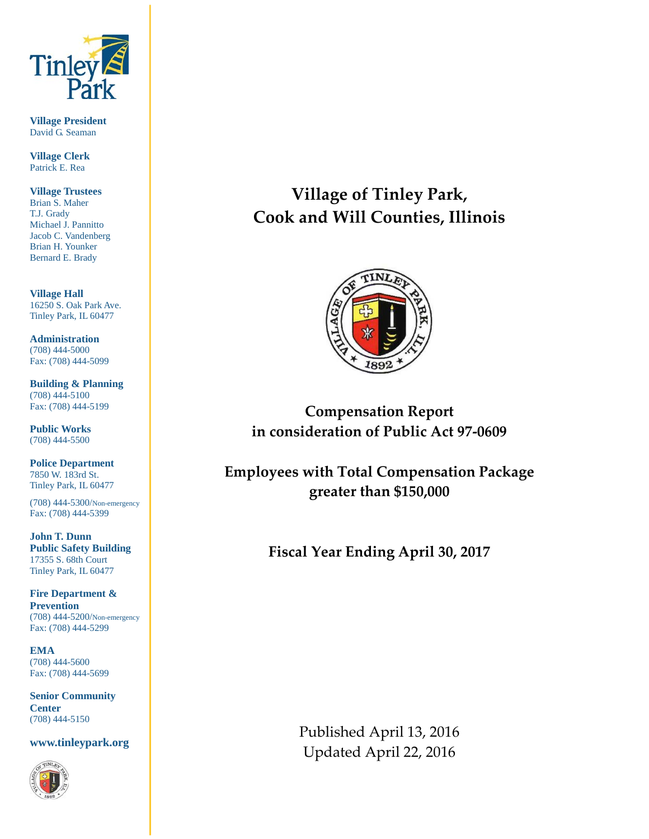

**Village President** David G. Seaman

**Village Clerk** Patrick E. Rea

**Village Trustees** Brian S. Maher T.J. Grady Michael J. Pannitto Jacob C. Vandenberg Brian H. Younker Bernard E. Brady

**Village Hall** 16250 S. Oak Park Ave. Tinley Park, IL 60477

**Administration** (708) 444-5000 Fax: (708) 444-5099

**Building & Planning** (708) 444-5100 Fax: (708) 444-5199

**Public Works** (708) 444-5500

**Police Department** 7850 W. 183rd St. Tinley Park, IL 60477

(708) 444-5300/Non-emergency Fax: (708) 444-5399

**John T. Dunn Public Safety Building** 17355 S. 68th Court Tinley Park, IL 60477

**Fire Department & Prevention** (708) 444-5200/Non-emergency Fax: (708) 444-5299

**EMA** (708) 444-5600 Fax: (708) 444-5699

**Senior Community Center** (708) 444-5150

**www.tinleypark.org**



**Village of Tinley Park, Cook and Will Counties, Illinois**



**Compensation Report in consideration of Public Act 97-0609**

**Employees with Total Compensation Package greater than \$150,000**

**Fiscal Year Ending April 30, 2017**

Published April 13, 2016 Updated April 22, 2016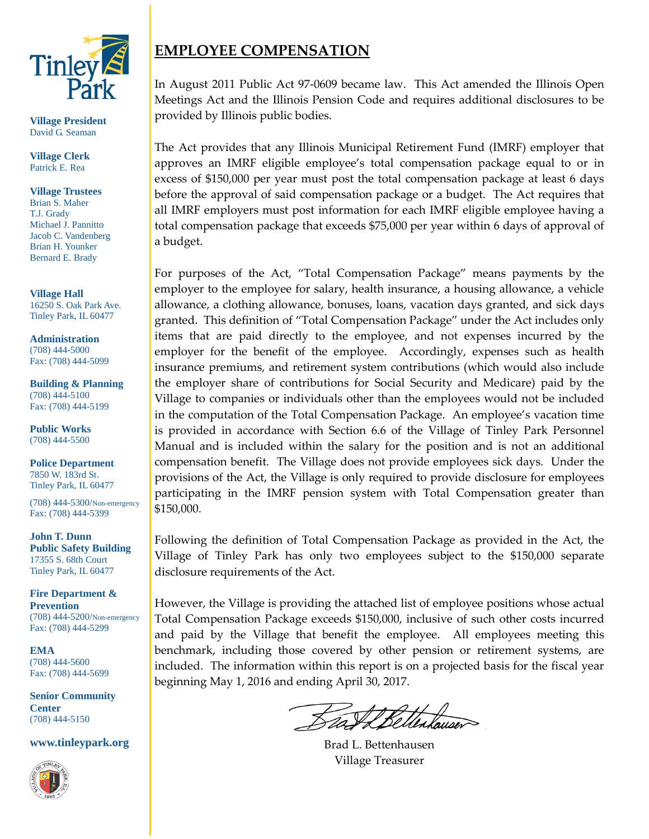

**Village President** David G. Seaman

**Village Clerk** Patrick E. Rea

**Village Trustees** Brian S. Maher T.J. Grady Michael J. Pannitto Jacob C. Vandenberg Brian H. Younker Bernard E. Brady

**Village Hall** 16250 S. Oak Park Ave. Tinley Park, IL 60477

**Administration** (708) 444-5000 Fax: (708) 444-5099

**Building & Planning** (708) 444-5100 Fax: (708) 444-5199

**Public Works** (708) 444-5500

**Police Department** 7850 W. 183rd St. Tinley Park, IL 60477

(708) 444-5300/Non-emergency Fax: (708) 444-5399

**John T. Dunn Public Safety Building** 17355 S. 68th Court Tinley Park, IL 60477

**Fire Department & Prevention** (708) 444-5200/Non-emergency Fax: (708) 444-5299

**EMA** (708) 444-5600 Fax: (708) 444-5699

**Senior Community Center** (708) 444-5150

**www.tinleypark.org**



## **EMPLOYEE COMPENSATION**

In August 2011 Public Act 97-0609 became law. This Act amended the Illinois Open Meetings Act and the Illinois Pension Code and requires additional disclosures to be provided by Illinois public bodies.

The Act provides that any Illinois Municipal Retirement Fund (IMRF) employer that approves an IMRF eligible employee's total compensation package equal to or in excess of \$150,000 per year must post the total compensation package at least 6 days before the approval of said compensation package or a budget. The Act requires that all IMRF employers must post information for each IMRF eligible employee having a total compensation package that exceeds \$75,000 per year within 6 days of approval of a budget.

For purposes of the Act, "Total Compensation Package" means payments by the employer to the employee for salary, health insurance, a housing allowance, a vehicle allowance, a clothing allowance, bonuses, loans, vacation days granted, and sick days granted. This definition of "Total Compensation Package" under the Act includes only items that are paid directly to the employee, and not expenses incurred by the employer for the benefit of the employee. Accordingly, expenses such as health insurance premiums, and retirement system contributions (which would also include the employer share of contributions for Social Security and Medicare) paid by the Village to companies or individuals other than the employees would not be included in the computation of the Total Compensation Package. An employee's vacation time is provided in accordance with Section 6.6 of the Village of Tinley Park Personnel Manual and is included within the salary for the position and is not an additional compensation benefit. The Village does not provide employees sick days. Under the provisions of the Act, the Village is only required to provide disclosure for employees participating in the IMRF pension system with Total Compensation greater than \$150,000.

Following the definition of Total Compensation Package as provided in the Act, the Village of Tinley Park has only two employees subject to the \$150,000 separate disclosure requirements of the Act.

However, the Village is providing the attached list of employee positions whose actual Total Compensation Package exceeds \$150,000, inclusive of such other costs incurred and paid by the Village that benefit the employee. All employees meeting this benchmark, including those covered by other pension or retirement systems, are included. The information within this report is on a projected basis for the fiscal year beginning May 1, 2016 and ending April 30, 2017.

Brad L. Bettenhausen Village Treasurer